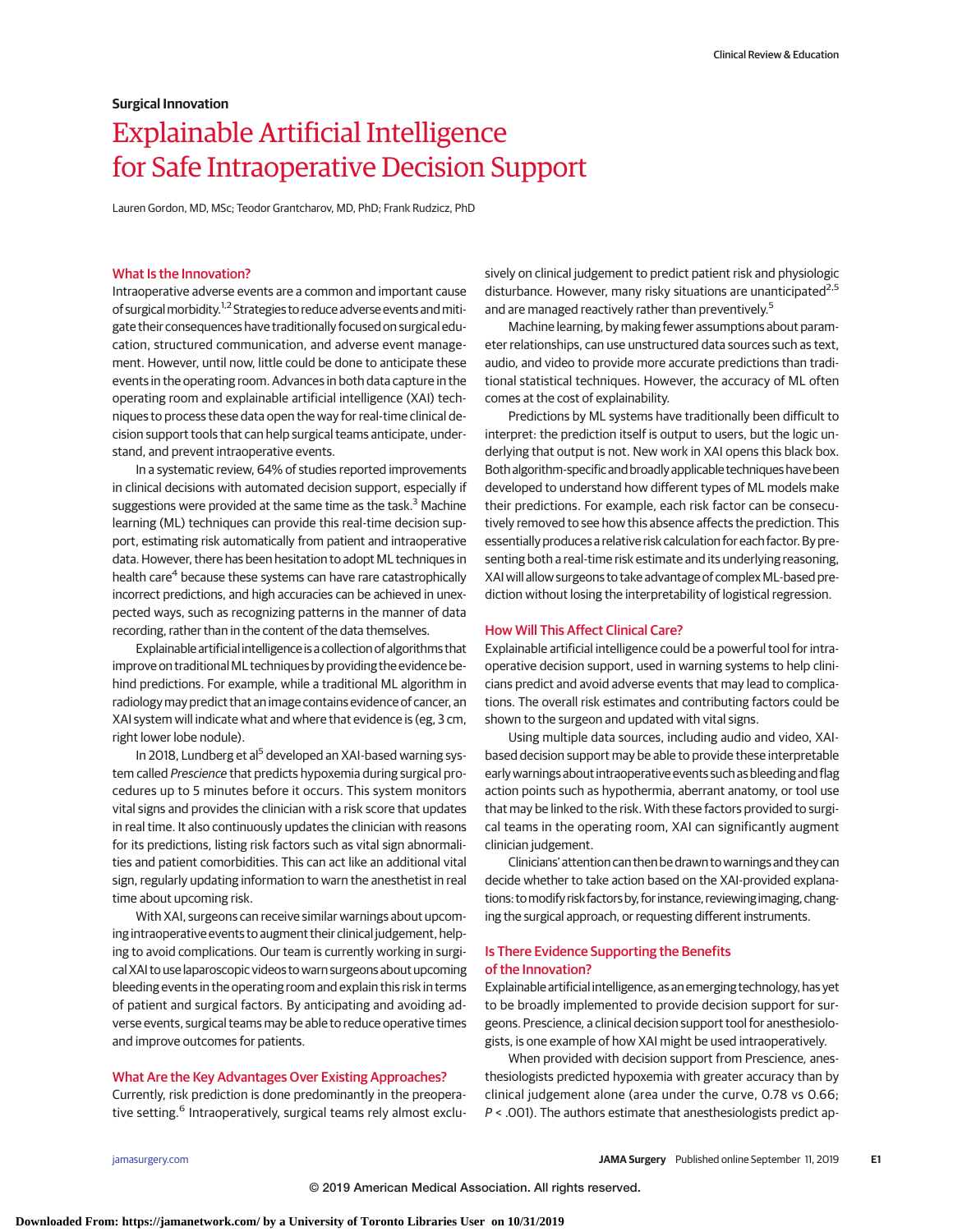#### **Surgical Innovation**

# Explainable Artificial Intelligence for Safe Intraoperative Decision Support

Lauren Gordon, MD, MSc; Teodor Grantcharov, MD, PhD; Frank Rudzicz, PhD

#### What Is the Innovation?

Intraoperative adverse events are a common and important cause of surgical morbidity.<sup>1,2</sup> Strategies to reduce adverse events and mitigate their consequences have traditionally focused on surgical education, structured communication, and adverse event management. However, until now, little could be done to anticipate these events in the operating room. Advances in both data capture in the operating room and explainable artificial intelligence (XAI) techniques to process these data open the way for real-time clinical decision support tools that can help surgical teams anticipate, understand, and prevent intraoperative events.

In a systematic review, 64% of studies reported improvements in clinical decisions with automated decision support, especially if suggestions were provided at the same time as the task.<sup>3</sup> Machine learning (ML) techniques can provide this real-time decision support, estimating risk automatically from patient and intraoperative data. However, there has been hesitation to adopt ML techniques in health care<sup>4</sup> because these systems can have rare catastrophically incorrect predictions, and high accuracies can be achieved in unexpected ways, such as recognizing patterns in the manner of data recording, rather than in the content of the data themselves.

Explainable artificial intelligence is a collection of algorithms that improve on traditional ML techniques by providing the evidence behind predictions. For example, while a traditional ML algorithm in radiology may predict that an image contains evidence of cancer, an XAI system will indicate what and where that evidence is (eg, 3 cm, right lower lobe nodule).

In 2018, Lundberg et al<sup>5</sup> developed an XAI-based warning system called Prescience that predicts hypoxemia during surgical procedures up to 5 minutes before it occurs. This system monitors vital signs and provides the clinician with a risk score that updates in real time. It also continuously updates the clinician with reasons for its predictions, listing risk factors such as vital sign abnormalities and patient comorbidities. This can act like an additional vital sign, regularly updating information to warn the anesthetist in real time about upcoming risk.

With XAI, surgeons can receive similar warnings about upcoming intraoperative events to augment their clinical judgement, helping to avoid complications. Our team is currently working in surgical XAI to use laparoscopic videos to warn surgeons about upcoming bleeding events in the operating room and explain this risk in terms of patient and surgical factors. By anticipating and avoiding adverse events, surgical teams may be able to reduce operative times and improve outcomes for patients.

## What Are the Key Advantages Over Existing Approaches?

Currently, risk prediction is done predominantly in the preoperative setting.<sup>6</sup> Intraoperatively, surgical teams rely almost exclusively on clinical judgement to predict patient risk and physiologic disturbance. However, many risky situations are unanticipated $^{2,5}$ and are managed reactively rather than preventively.<sup>5</sup>

Machine learning, by making fewer assumptions about parameter relationships, can use unstructured data sources such as text, audio, and video to provide more accurate predictions than traditional statistical techniques. However, the accuracy of ML often comes at the cost of explainability.

Predictions by ML systems have traditionally been difficult to interpret: the prediction itself is output to users, but the logic underlying that output is not. New work in XAI opens this black box. Bothalgorithm-specificand broadlyapplicable techniques have been developed to understand how different types of ML models make their predictions. For example, each risk factor can be consecutively removed to see how this absence affects the prediction. This essentially produces a relative risk calculation for each factor. By presenting both a real-time risk estimate and its underlying reasoning, XAI will allow surgeons to take advantage of complexML-based prediction without losing the interpretability of logistical regression.

#### How Will This Affect Clinical Care?

Explainable artificial intelligence could be a powerful tool for intraoperative decision support, used in warning systems to help clinicians predict and avoid adverse events that may lead to complications. The overall risk estimates and contributing factors could be shown to the surgeon and updated with vital signs.

Using multiple data sources, including audio and video, XAIbased decision support may be able to provide these interpretable early warnings about intraoperative events such as bleeding and flag action points such as hypothermia, aberrant anatomy, or tool use that may be linked to the risk. With these factors provided to surgical teams in the operating room, XAI can significantly augment clinician judgement.

Clinicians' attention can then be drawn to warnings and they can decide whether to take action based on the XAI-provided explanations: to modify risk factors by, for instance, reviewing imaging, changing the surgical approach, or requesting different instruments.

## Is There Evidence Supporting the Benefits of the Innovation?

Explainable artificial intelligence, as an emerging technology, has yet to be broadly implemented to provide decision support for surgeons. Prescience, a clinical decision support tool for anesthesiologists, is one example of how XAI might be used intraoperatively.

When provided with decision support from Prescience, anesthesiologists predicted hypoxemia with greater accuracy than by clinical judgement alone (area under the curve, 0.78 vs 0.66;  $P <$  .001). The authors estimate that anesthesiologists predict ap-